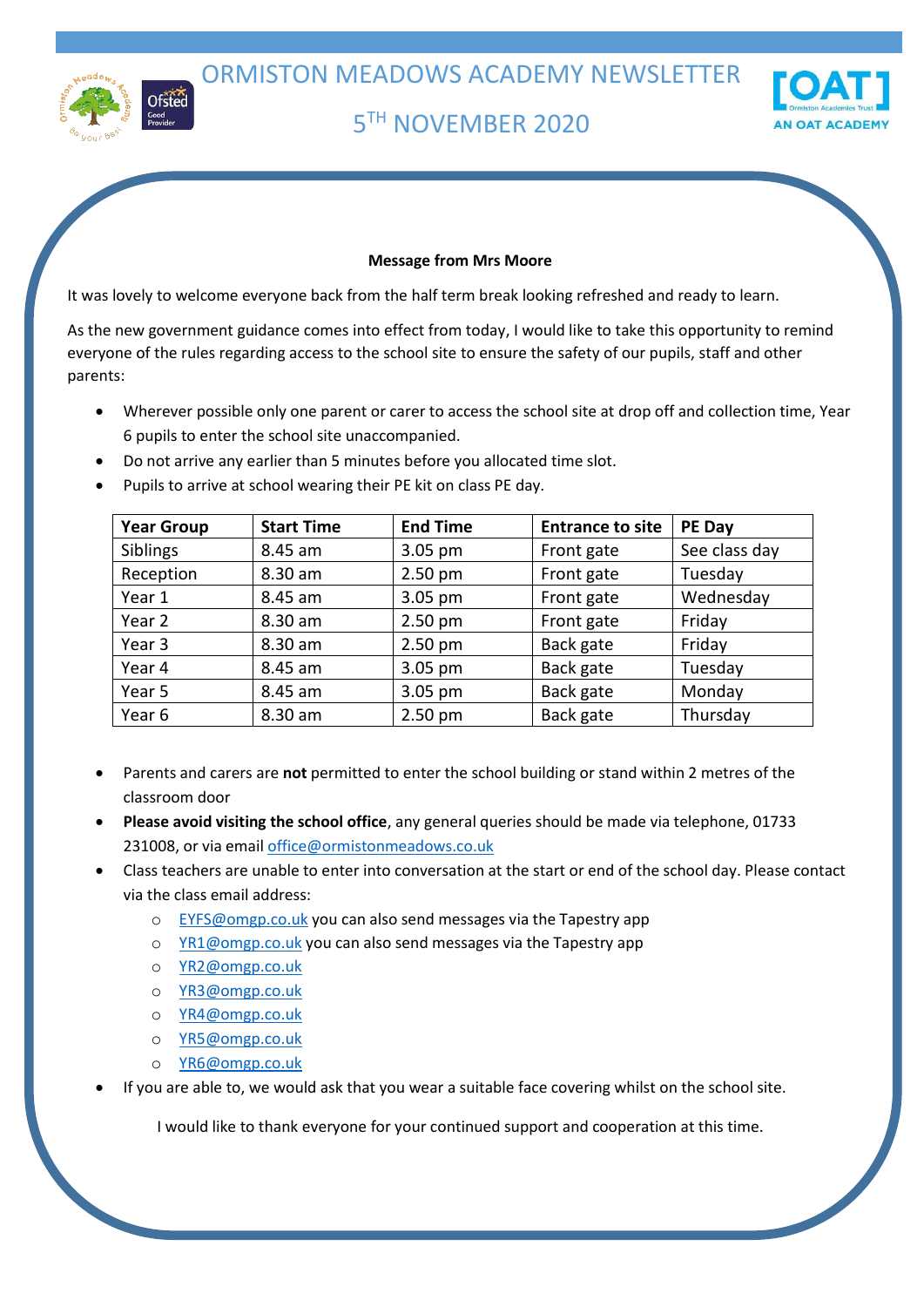

# 5 TH NOVEMBER 2020



# **Message from Mrs Moore**

It was lovely to welcome everyone back from the half term break looking refreshed and ready to learn.

As the new government guidance comes into effect from today, I would like to take this opportunity to remind everyone of the rules regarding access to the school site to ensure the safety of our pupils, staff and other parents:

- Wherever possible only one parent or carer to access the school site at drop off and collection time, Year 6 pupils to enter the school site unaccompanied.
- Do not arrive any earlier than 5 minutes before you allocated time slot.
- Pupils to arrive at school wearing their PE kit on class PE day.

| <b>Year Group</b> | <b>Start Time</b> | <b>End Time</b> | <b>Entrance to site</b> | PE Day        |
|-------------------|-------------------|-----------------|-------------------------|---------------|
| Siblings          | 8.45 am           | 3.05 pm         | Front gate              | See class day |
| Reception         | 8.30 am           | $2.50$ pm       | Front gate              | Tuesday       |
| Year 1            | 8.45 am           | 3.05 pm         | Front gate              | Wednesday     |
| Year 2            | 8.30 am           | $2.50$ pm       | Front gate              | Friday        |
| Year 3            | 8.30 am           | $2.50$ pm       | Back gate               | Friday        |
| Year 4            | 8.45 am           | 3.05 pm         | Back gate               | Tuesday       |
| Year 5            | 8.45 am           | 3.05 pm         | Back gate               | Monday        |
| Year 6            | 8.30 am           | $2.50$ pm       | Back gate               | Thursday      |
|                   |                   |                 |                         |               |

- Parents and carers are **not** permitted to enter the school building or stand within 2 metres of the classroom door
- **Please avoid visiting the school office**, any general queries should be made via telephone, 01733 231008, or via emai[l office@ormistonmeadows.co.uk](mailto:office@ormistonmeadows.co.uk)
- Class teachers are unable to enter into conversation at the start or end of the school day. Please contact via the class email address:
	- o [EYFS@omgp.co.uk](mailto:EYFS@omgp.co.uk) you can also send messages via the Tapestry app
	- o [YR1@omgp.co.uk](mailto:YR1@omgp.co.uk) you can also send messages via the Tapestry app
	- o [YR2@omgp.co.uk](mailto:YR2@omgp.co.uk)
	- o [YR3@omgp.co.uk](mailto:YR3@omgp.co.uk)
	- o [YR4@omgp.co.uk](mailto:YR4@omgp.co.uk)
	- o [YR5@omgp.co.uk](mailto:YR5@omgp.co.uk)
	- o [YR6@omgp.co.uk](mailto:YR6@omgp.co.uk)
- If you are able to, we would ask that you wear a suitable face covering whilst on the school site.

I would like to thank everyone for your continued support and cooperation at this time.